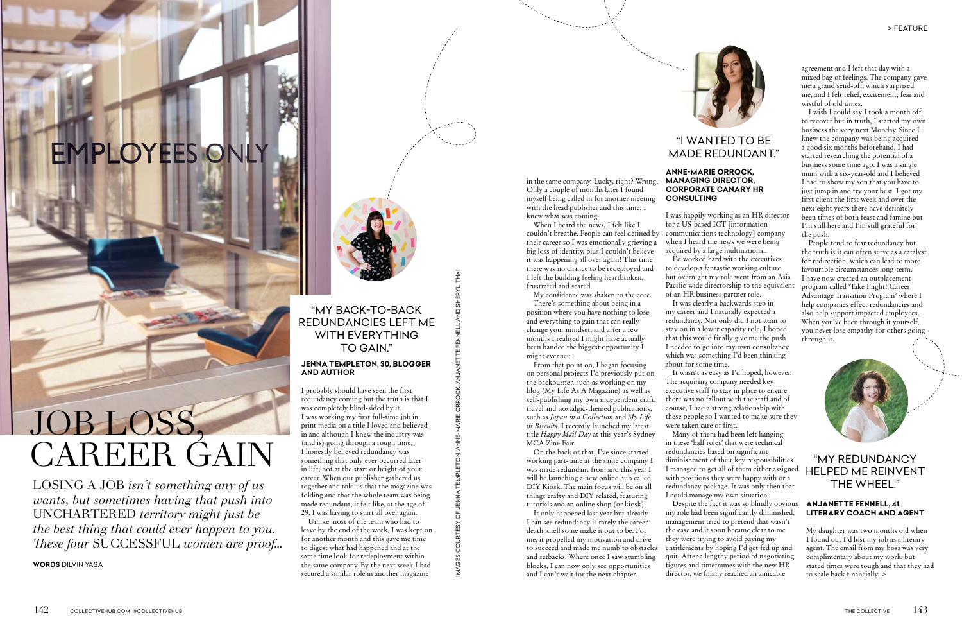## **EMPLOYEES ONLY**

# JOB LOSS, CAREER GAIN

LOSING A JOB *isn't something any of us wants, but sometimes having that push into*  UNCHARTERED *territory might just be the best thing that could ever happen to you. These four* SUCCESSFUL *women are proof...* 

**WORDS** DILVIN YASA



#### in the same company. Lucky, right? Wrong. Only a couple of months later I found myself being called in for another meeting with the head publisher and this time, I

knew what was coming. When I heard the news, I felt like I couldn't breathe. People can feel defined by their career so I was emotionally grieving a big loss of identity, plus I couldn't believe it was happening all over again! This time there was no chance to be redeployed and I left the building feeling heartbroken, frustrated and scared.

My confidence was shaken to the core.

There's something about being in a position where you have nothing to lose and everything to gain that can really change your mindset, and after a few months I realised I might have actually been handed the biggest opportunity I might ever see.

From that point on, I began focusing on personal projects I'd previously put on the backburner, such as working on my blog (My Life As A Magazine) as well as self-publishing my own independent craft, travel and nostalgic-themed publications, such as *Japan in a Collection* and *My Life in Biscuits*. I recently launched my latest title *Happy Mail Day* at this year's Sydney MCA Zine Fair.

On the back of that, I've since started working part-time at the same company I was made redundant from and this year I will be launching a new online hub called DIY Kiosk. The main focus will be on all things crafty and DIY related, featuring tutorials and an online shop (or kiosk).

It only happened last year but already I can see redundancy is rarely the career death knell some make it out to be. For me, it propelled my motivation and drive to succeed and made me numb to obstacles and setbacks. Where once I saw stumbling blocks, I can now only see opportunities and I can't wait for the next chapter.

#### **JENNA TEMPLETON, 30, BLOGGER AND AUTHOR**

I probably should have seen the first redundancy coming but the truth is that I was completely blind-sided by it. I was working my first full-time job in print media on a title I loved and believed in and although I knew the industry was (and is) going through a rough time, I honestly believed redundancy was something that only ever occurred later in life, not at the start or height of your career. When our publisher gathered us together and told us that the magazine was folding and that the whole team was being made redundant, it felt like, at the age of 29, I was having to start all over again.

Unlike most of the team who had to leave by the end of the week, I was kept on for another month and this gave me time to digest what had happened and at the same time look for redeployment within the same company. By the next week I had secured a similar role in another magazine

I was happily working as an HR director for a US-based ICT [information when I heard the news we were being I'd worked hard with the executives

IMAGES COURTESY OF JENNA TEMPLETON, ANNE-MARIE ORROCK, ANJANETTE FENNELL AND SHERYL THAIJENNA TEMPLETON, ANNE-MARIE OR MAGES COURTESY OF communications technology] company acquired by a large multinational. to develop a fantastic working culture but overnight my role went from an Asia Pacific-wide directorship to the equivalent of an HR business partner role.

It was clearly a backwards step in my career and I naturally expected a redundancy. Not only did I not want to stay on in a lower capacity role, I hoped that this would finally give me the push I needed to go into my own consultancy, which was something I'd been thinking about for some time.

It wasn't as easy as I'd hoped, however. executive staff to stay in place to ensure there was no fallout with the staff and of course, I had a strong relationship with these people so I wanted to make sure they

The acquiring company needed key were taken care of first.

Many of them had been left hanging in these 'half roles' that were technical redundancies based on significant diminishment of their key responsibilities. I managed to get all of them either assigned with positions they were happy with or a redundancy package. It was only then that I could manage my own situation. Despite the fact it was so blindly obvious

my role had been significantly diminished, management tried to pretend that wasn't the case and it soon became clear to me they were trying to avoid paying my entitlements by hoping I'd get fed up and quit. After a lengthy period of negotiating figures and timeframes with the new HR director, we finally reached an amicable

#### **ANNE-MARIE ORROCK, MANAGING DIRECTOR, CORPORATE CANARY HR CONSULTING**



#### "MY BACK-TO-BACK REDUNDANCIES LEFT ME WITH EVERYTHING TO GAIN."

agreement and I left that day with a mixed bag of feelings. The company gave me a grand send-off, which surprised me, and I felt relief, excitement, fear and wistful of old times.

I wish I could say I took a month off to recover but in truth, I started my own business the very next Monday. Since I knew the company was being acquired a good six months beforehand, I had started researching the potential of a business some time ago. I was a single mum with a six-year-old and I believed I had to show my son that you have to just jump in and try your best. I got my first client the first week and over the next eight years there have definitely been times of both feast and famine but I'm still here and I'm still grateful for the push.

People tend to fear redundancy but the truth is it can often serve as a catalyst for redirection, which can lead to more favourable circumstances long-term. I have now created an outplacement program called 'Take Flight! Career Advantage Transition Program' where I help companies effect redundancies and also help support impacted employees. When you've been through it yourself, you never lose empathy for others going through it.



### "I WANTED TO BE

## MADE REDUNDANT."

#### **ANJANETTE FENNELL, 41, LITERARY COACH AND AGENT**

My daughter was two months old when I found out I'd lost my job as a literary agent. The email from my boss was very complimentary about my work, but stated times were tough and that they had to scale back financially. >

#### "MY REDUNDANCY HELPED ME REINVENT THE WHEEL."